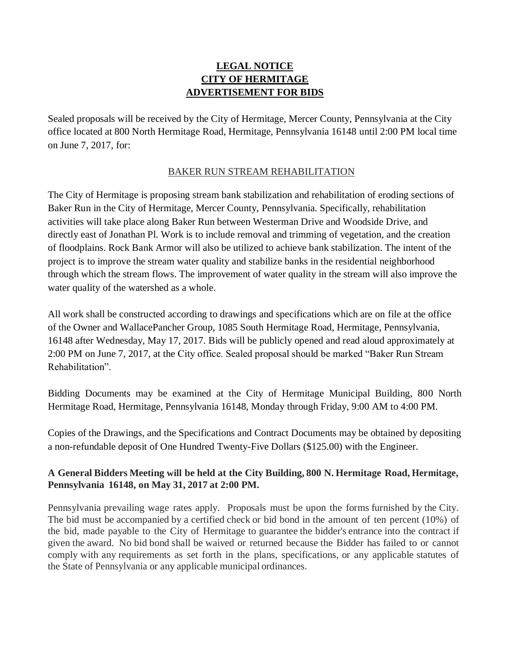## **LEGAL NOTICE CITY OF HERMITAGE ADVERTISEMENT FOR BIDS**

Sealed proposals will be received by the City of Hermitage, Mercer County, Pennsylvania at the City office located at 800 North Hermitage Road, Hermitage, Pennsylvania 16148 until 2:00 PM local time on June 7, 2017, for:

## BAKER RUN STREAM REHABILITATION

The City of Hermitage is proposing stream bank stabilization and rehabilitation of eroding sections of Baker Run in the City of Hermitage, Mercer County, Pennsylvania. Specifically, rehabilitation activities will take place along Baker Run between Westerman Drive and Woodside Drive, and directly east of Jonathan Pl. Work is to include removal and trimming of vegetation, and the creation of floodplains. Rock Bank Armor will also be utilized to achieve bank stabilization. The intent of the project is to improve the stream water quality and stabilize banks in the residential neighborhood through which the stream flows. The improvement of water quality in the stream will also improve the water quality of the watershed as a whole.

All work shall be constructed according to drawings and specifications which are on file at the office of the Owner and WallacePancher Group, 1085 South Hermitage Road, Hermitage, Pennsylvania, 16148 after Wednesday, May 17, 2017. Bids will be publicly opened and read aloud approximately at 2:00 PM on June 7, 2017, at the City office. Sealed proposal should be marked "Baker Run Stream Rehabilitation".

Bidding Documents may be examined at the City of Hermitage Municipal Building, 800 North Hermitage Road, Hermitage, Pennsylvania 16148, Monday through Friday, 9:00 AM to 4:00 PM.

Copies of the Drawings, and the Specifications and Contract Documents may be obtained by depositing a non-refundable deposit of One Hundred Twenty-Five Dollars (\$125.00) with the Engineer.

## **A General Bidders Meeting will be held at the City Building, 800 N. Hermitage Road, Hermitage, Pennsylvania 16148, on May 31, 2017 at 2:00 PM.**

Pennsylvania prevailing wage rates apply. Proposals must be upon the forms furnished by the City. The bid must be accompanied by a certified check or bid bond in the amount of ten percent (10%) of the bid, made payable to the City of Hermitage to guarantee the bidder's entrance into the contract if given the award. No bid bond shall be waived or returned because the Bidder has failed to or cannot comply with any requirements as set forth in the plans, specifications, or any applicable statutes of the State of Pennsylvania or any applicable municipal ordinances.